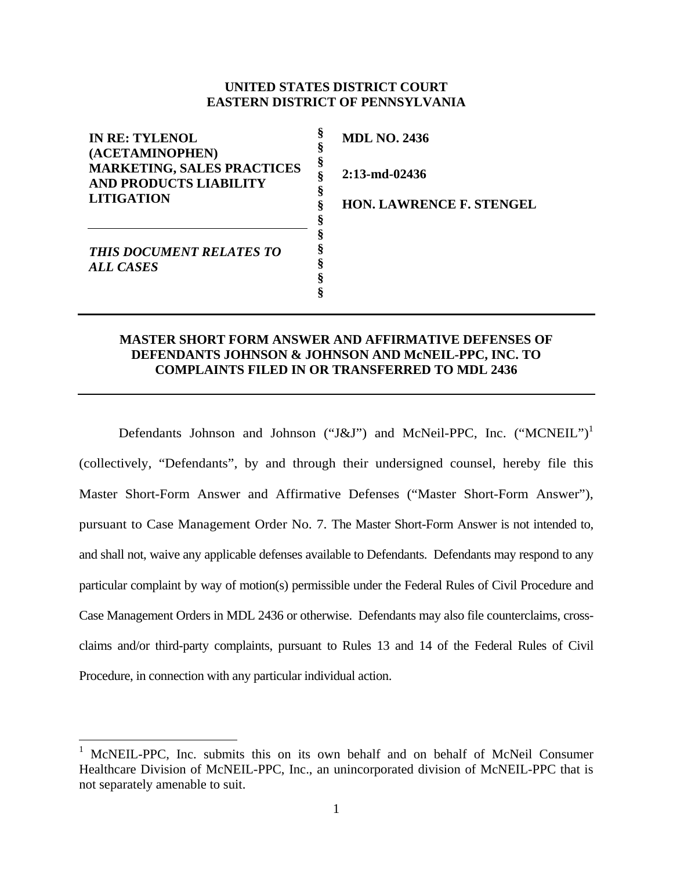# **UNITED STATES DISTRICT COURT EASTERN DISTRICT OF PENNSYLVANIA**

| <b>IN RE: TYLENOL</b><br>(ACETAMINOPHEN)                           | <b>MDL NO. 2436</b>             |
|--------------------------------------------------------------------|---------------------------------|
| <b>MARKETING, SALES PRACTICES</b><br><b>AND PRODUCTS LIABILITY</b> | 8<br>$2:13$ -md-02436           |
| <b>LITIGATION</b>                                                  | <b>HON. LAWRENCE F. STENGEL</b> |
| <b>THIS DOCUMENT RELATES TO</b><br>ALL CASES                       |                                 |

# **MASTER SHORT FORM ANSWER AND AFFIRMATIVE DEFENSES OF DEFENDANTS JOHNSON & JOHNSON AND McNEIL-PPC, INC. TO COMPLAINTS FILED IN OR TRANSFERRED TO MDL 2436**

Defendants Johnson and Johnson ("J&J") and McNeil-PPC, Inc. ("MCNEIL")<sup>1</sup> (collectively, "Defendants", by and through their undersigned counsel, hereby file this Master Short-Form Answer and Affirmative Defenses ("Master Short-Form Answer"), pursuant to Case Management Order No. 7. The Master Short-Form Answer is not intended to, and shall not, waive any applicable defenses available to Defendants. Defendants may respond to any particular complaint by way of motion(s) permissible under the Federal Rules of Civil Procedure and Case Management Orders in MDL 2436 or otherwise. Defendants may also file counterclaims, crossclaims and/or third-party complaints, pursuant to Rules 13 and 14 of the Federal Rules of Civil Procedure, in connection with any particular individual action.

 $\overline{a}$ 

<sup>1</sup> McNEIL-PPC, Inc. submits this on its own behalf and on behalf of McNeil Consumer Healthcare Division of McNEIL-PPC, Inc., an unincorporated division of McNEIL-PPC that is not separately amenable to suit.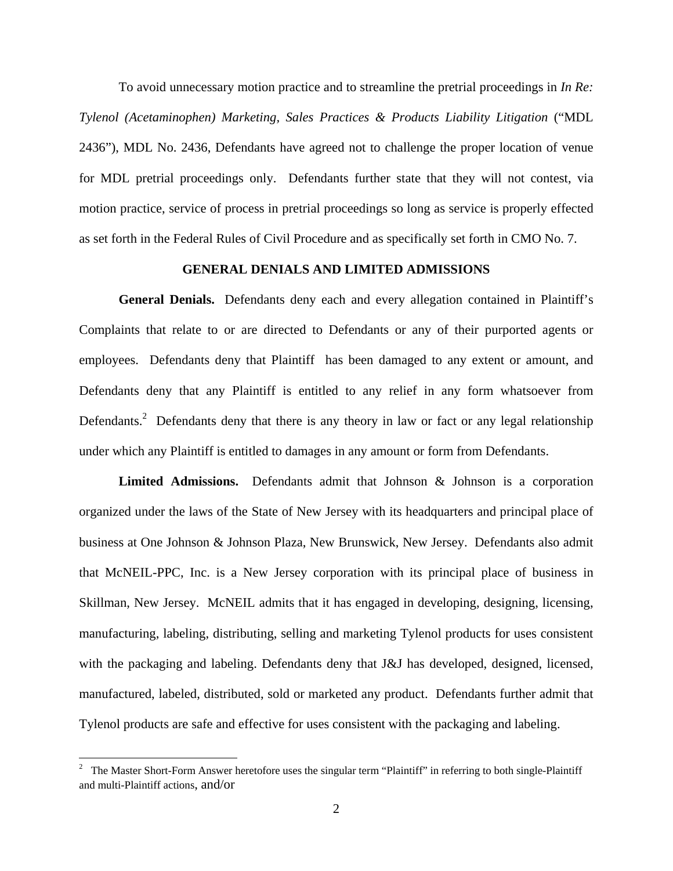To avoid unnecessary motion practice and to streamline the pretrial proceedings in *In Re: Tylenol (Acetaminophen) Marketing, Sales Practices & Products Liability Litigation* ("MDL 2436"), MDL No. 2436, Defendants have agreed not to challenge the proper location of venue for MDL pretrial proceedings only. Defendants further state that they will not contest, via motion practice, service of process in pretrial proceedings so long as service is properly effected as set forth in the Federal Rules of Civil Procedure and as specifically set forth in CMO No. 7.

## **GENERAL DENIALS AND LIMITED ADMISSIONS**

**General Denials.** Defendants deny each and every allegation contained in Plaintiff's Complaints that relate to or are directed to Defendants or any of their purported agents or employees. Defendants deny that Plaintiff has been damaged to any extent or amount, and Defendants deny that any Plaintiff is entitled to any relief in any form whatsoever from Defendants.<sup>2</sup> Defendants deny that there is any theory in law or fact or any legal relationship under which any Plaintiff is entitled to damages in any amount or form from Defendants.

**Limited Admissions.** Defendants admit that Johnson & Johnson is a corporation organized under the laws of the State of New Jersey with its headquarters and principal place of business at One Johnson & Johnson Plaza, New Brunswick, New Jersey. Defendants also admit that McNEIL-PPC, Inc. is a New Jersey corporation with its principal place of business in Skillman, New Jersey. McNEIL admits that it has engaged in developing, designing, licensing, manufacturing, labeling, distributing, selling and marketing Tylenol products for uses consistent with the packaging and labeling. Defendants deny that J&J has developed, designed, licensed, manufactured, labeled, distributed, sold or marketed any product. Defendants further admit that Tylenol products are safe and effective for uses consistent with the packaging and labeling.

<sup>&</sup>lt;sup>2</sup> The Master Short-Form Answer heretofore uses the singular term "Plaintiff" in referring to both single-Plaintiff and multi-Plaintiff actions, and/or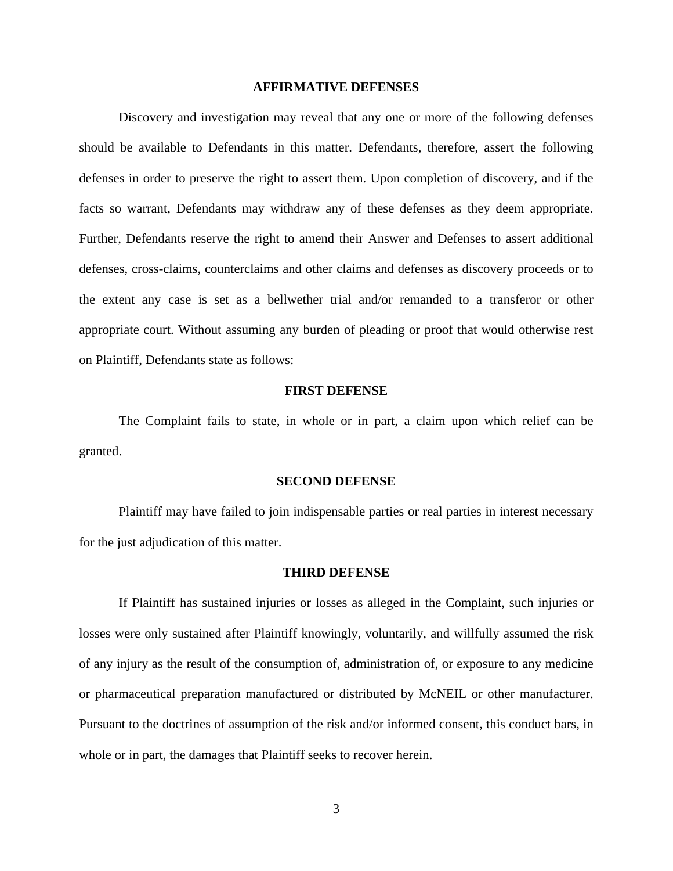### **AFFIRMATIVE DEFENSES**

Discovery and investigation may reveal that any one or more of the following defenses should be available to Defendants in this matter. Defendants, therefore, assert the following defenses in order to preserve the right to assert them. Upon completion of discovery, and if the facts so warrant, Defendants may withdraw any of these defenses as they deem appropriate. Further, Defendants reserve the right to amend their Answer and Defenses to assert additional defenses, cross-claims, counterclaims and other claims and defenses as discovery proceeds or to the extent any case is set as a bellwether trial and/or remanded to a transferor or other appropriate court. Without assuming any burden of pleading or proof that would otherwise rest on Plaintiff, Defendants state as follows:

## **FIRST DEFENSE**

The Complaint fails to state, in whole or in part, a claim upon which relief can be granted.

#### **SECOND DEFENSE**

Plaintiff may have failed to join indispensable parties or real parties in interest necessary for the just adjudication of this matter.

### **THIRD DEFENSE**

If Plaintiff has sustained injuries or losses as alleged in the Complaint, such injuries or losses were only sustained after Plaintiff knowingly, voluntarily, and willfully assumed the risk of any injury as the result of the consumption of, administration of, or exposure to any medicine or pharmaceutical preparation manufactured or distributed by McNEIL or other manufacturer. Pursuant to the doctrines of assumption of the risk and/or informed consent, this conduct bars, in whole or in part, the damages that Plaintiff seeks to recover herein.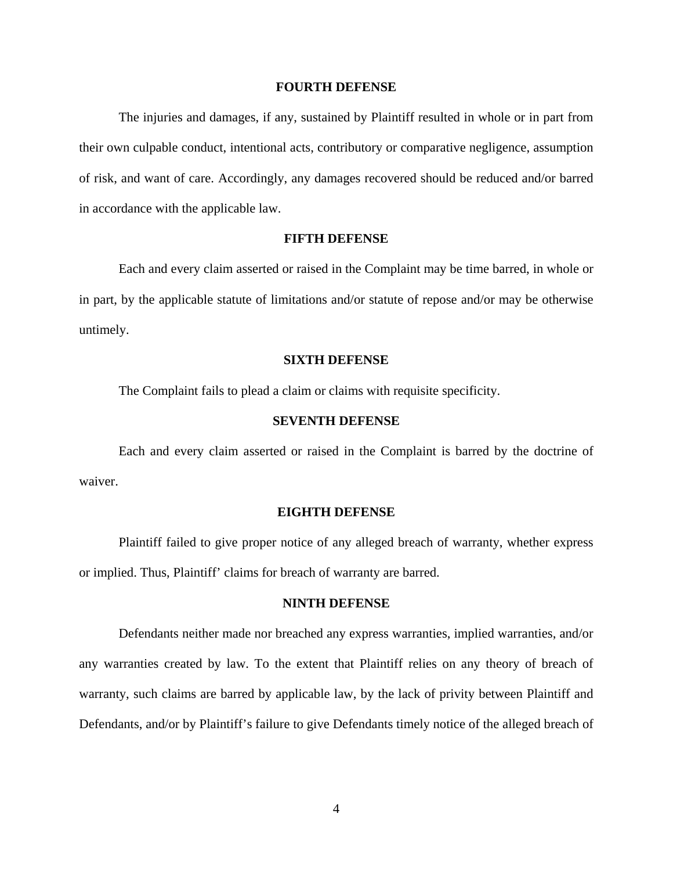### **FOURTH DEFENSE**

The injuries and damages, if any, sustained by Plaintiff resulted in whole or in part from their own culpable conduct, intentional acts, contributory or comparative negligence, assumption of risk, and want of care. Accordingly, any damages recovered should be reduced and/or barred in accordance with the applicable law.

## **FIFTH DEFENSE**

Each and every claim asserted or raised in the Complaint may be time barred, in whole or in part, by the applicable statute of limitations and/or statute of repose and/or may be otherwise untimely.

#### **SIXTH DEFENSE**

The Complaint fails to plead a claim or claims with requisite specificity.

## **SEVENTH DEFENSE**

Each and every claim asserted or raised in the Complaint is barred by the doctrine of waiver.

## **EIGHTH DEFENSE**

Plaintiff failed to give proper notice of any alleged breach of warranty, whether express or implied. Thus, Plaintiff' claims for breach of warranty are barred.

## **NINTH DEFENSE**

Defendants neither made nor breached any express warranties, implied warranties, and/or any warranties created by law. To the extent that Plaintiff relies on any theory of breach of warranty, such claims are barred by applicable law, by the lack of privity between Plaintiff and Defendants, and/or by Plaintiff's failure to give Defendants timely notice of the alleged breach of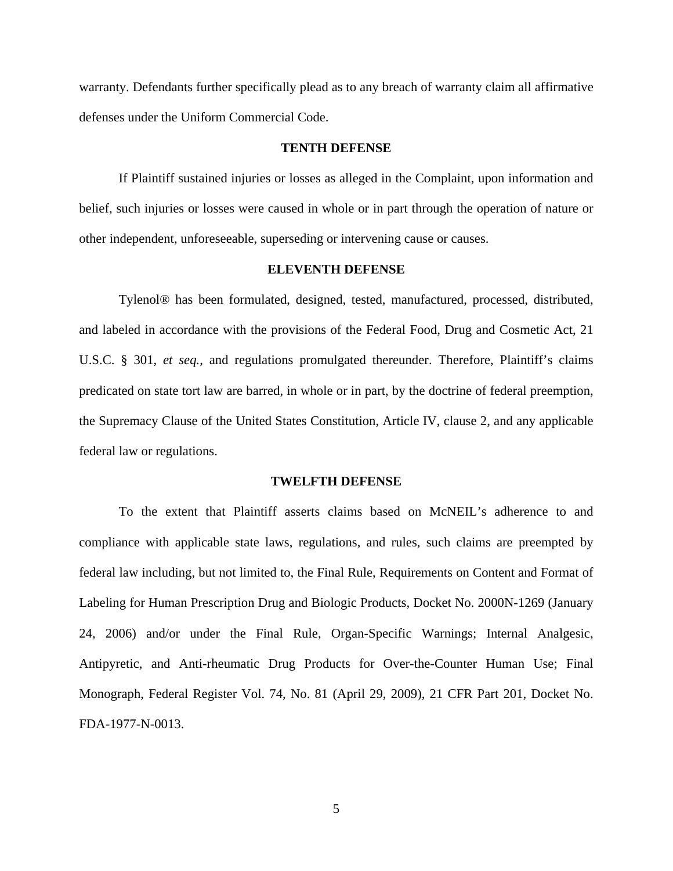warranty. Defendants further specifically plead as to any breach of warranty claim all affirmative defenses under the Uniform Commercial Code.

### **TENTH DEFENSE**

If Plaintiff sustained injuries or losses as alleged in the Complaint, upon information and belief, such injuries or losses were caused in whole or in part through the operation of nature or other independent, unforeseeable, superseding or intervening cause or causes.

### **ELEVENTH DEFENSE**

Tylenol® has been formulated, designed, tested, manufactured, processed, distributed, and labeled in accordance with the provisions of the Federal Food, Drug and Cosmetic Act, 21 U.S.C. § 301, *et seq.*, and regulations promulgated thereunder. Therefore, Plaintiff's claims predicated on state tort law are barred, in whole or in part, by the doctrine of federal preemption, the Supremacy Clause of the United States Constitution, Article IV, clause 2, and any applicable federal law or regulations.

#### **TWELFTH DEFENSE**

To the extent that Plaintiff asserts claims based on McNEIL's adherence to and compliance with applicable state laws, regulations, and rules, such claims are preempted by federal law including, but not limited to, the Final Rule, Requirements on Content and Format of Labeling for Human Prescription Drug and Biologic Products, Docket No. 2000N-1269 (January 24, 2006) and/or under the Final Rule, Organ-Specific Warnings; Internal Analgesic, Antipyretic, and Anti-rheumatic Drug Products for Over-the-Counter Human Use; Final Monograph, Federal Register Vol. 74, No. 81 (April 29, 2009), 21 CFR Part 201, Docket No. FDA-1977-N-0013.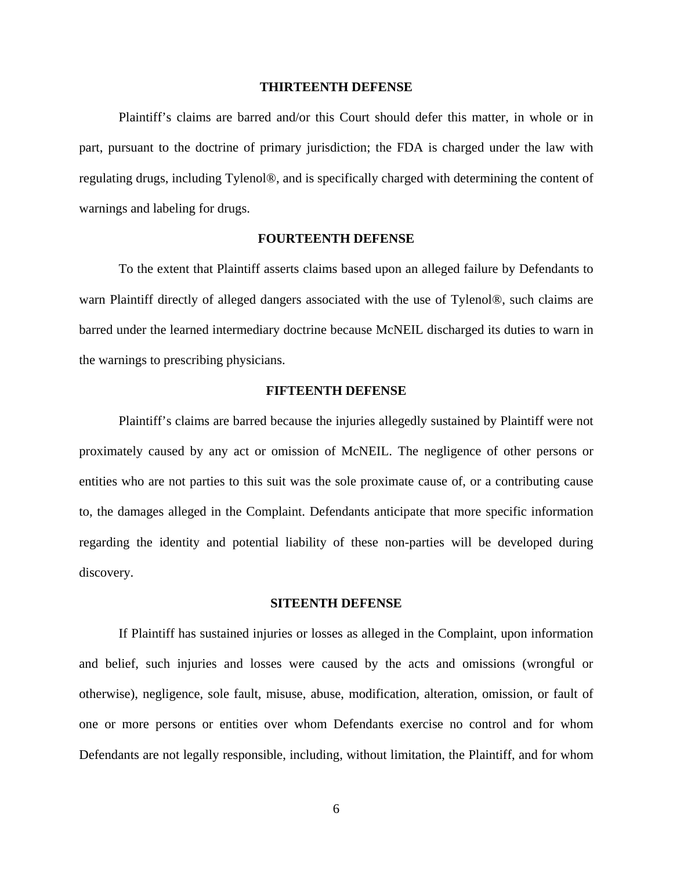## **THIRTEENTH DEFENSE**

Plaintiff's claims are barred and/or this Court should defer this matter, in whole or in part, pursuant to the doctrine of primary jurisdiction; the FDA is charged under the law with regulating drugs, including Tylenol®, and is specifically charged with determining the content of warnings and labeling for drugs.

## **FOURTEENTH DEFENSE**

To the extent that Plaintiff asserts claims based upon an alleged failure by Defendants to warn Plaintiff directly of alleged dangers associated with the use of Tylenol®, such claims are barred under the learned intermediary doctrine because McNEIL discharged its duties to warn in the warnings to prescribing physicians.

## **FIFTEENTH DEFENSE**

Plaintiff's claims are barred because the injuries allegedly sustained by Plaintiff were not proximately caused by any act or omission of McNEIL. The negligence of other persons or entities who are not parties to this suit was the sole proximate cause of, or a contributing cause to, the damages alleged in the Complaint. Defendants anticipate that more specific information regarding the identity and potential liability of these non-parties will be developed during discovery.

### **SITEENTH DEFENSE**

If Plaintiff has sustained injuries or losses as alleged in the Complaint, upon information and belief, such injuries and losses were caused by the acts and omissions (wrongful or otherwise), negligence, sole fault, misuse, abuse, modification, alteration, omission, or fault of one or more persons or entities over whom Defendants exercise no control and for whom Defendants are not legally responsible, including, without limitation, the Plaintiff, and for whom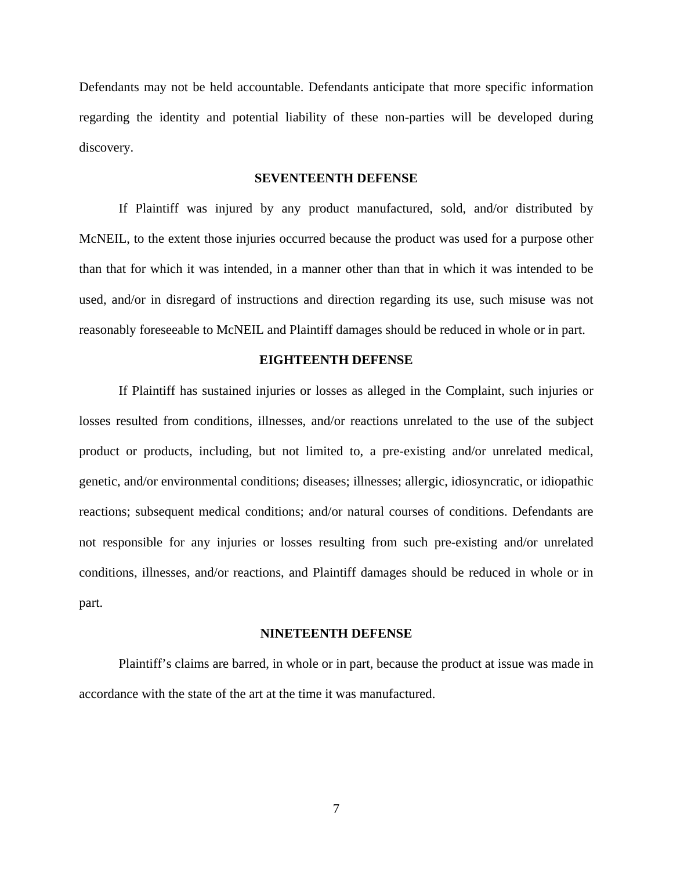Defendants may not be held accountable. Defendants anticipate that more specific information regarding the identity and potential liability of these non-parties will be developed during discovery.

## **SEVENTEENTH DEFENSE**

If Plaintiff was injured by any product manufactured, sold, and/or distributed by McNEIL, to the extent those injuries occurred because the product was used for a purpose other than that for which it was intended, in a manner other than that in which it was intended to be used, and/or in disregard of instructions and direction regarding its use, such misuse was not reasonably foreseeable to McNEIL and Plaintiff damages should be reduced in whole or in part.

### **EIGHTEENTH DEFENSE**

If Plaintiff has sustained injuries or losses as alleged in the Complaint, such injuries or losses resulted from conditions, illnesses, and/or reactions unrelated to the use of the subject product or products, including, but not limited to, a pre-existing and/or unrelated medical, genetic, and/or environmental conditions; diseases; illnesses; allergic, idiosyncratic, or idiopathic reactions; subsequent medical conditions; and/or natural courses of conditions. Defendants are not responsible for any injuries or losses resulting from such pre-existing and/or unrelated conditions, illnesses, and/or reactions, and Plaintiff damages should be reduced in whole or in part.

#### **NINETEENTH DEFENSE**

Plaintiff's claims are barred, in whole or in part, because the product at issue was made in accordance with the state of the art at the time it was manufactured.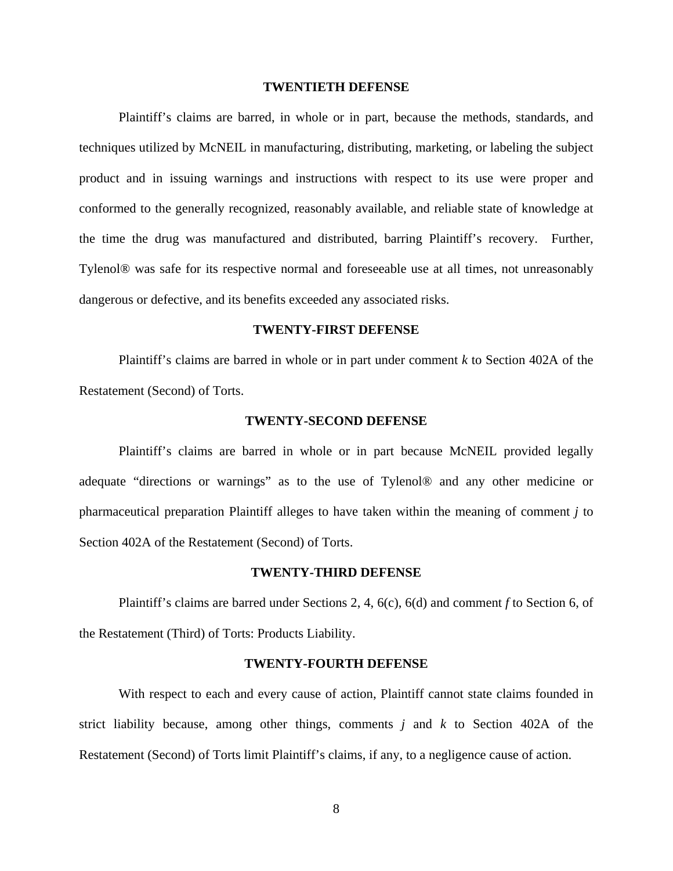## **TWENTIETH DEFENSE**

Plaintiff's claims are barred, in whole or in part, because the methods, standards, and techniques utilized by McNEIL in manufacturing, distributing, marketing, or labeling the subject product and in issuing warnings and instructions with respect to its use were proper and conformed to the generally recognized, reasonably available, and reliable state of knowledge at the time the drug was manufactured and distributed, barring Plaintiff's recovery. Further, Tylenol® was safe for its respective normal and foreseeable use at all times, not unreasonably dangerous or defective, and its benefits exceeded any associated risks.

## **TWENTY-FIRST DEFENSE**

Plaintiff's claims are barred in whole or in part under comment *k* to Section 402A of the Restatement (Second) of Torts.

## **TWENTY-SECOND DEFENSE**

Plaintiff's claims are barred in whole or in part because McNEIL provided legally adequate "directions or warnings" as to the use of Tylenol® and any other medicine or pharmaceutical preparation Plaintiff alleges to have taken within the meaning of comment *j* to Section 402A of the Restatement (Second) of Torts.

### **TWENTY-THIRD DEFENSE**

Plaintiff's claims are barred under Sections 2, 4, 6(c), 6(d) and comment *f* to Section 6, of the Restatement (Third) of Torts: Products Liability.

#### **TWENTY-FOURTH DEFENSE**

With respect to each and every cause of action, Plaintiff cannot state claims founded in strict liability because, among other things, comments *j* and *k* to Section 402A of the Restatement (Second) of Torts limit Plaintiff's claims, if any, to a negligence cause of action.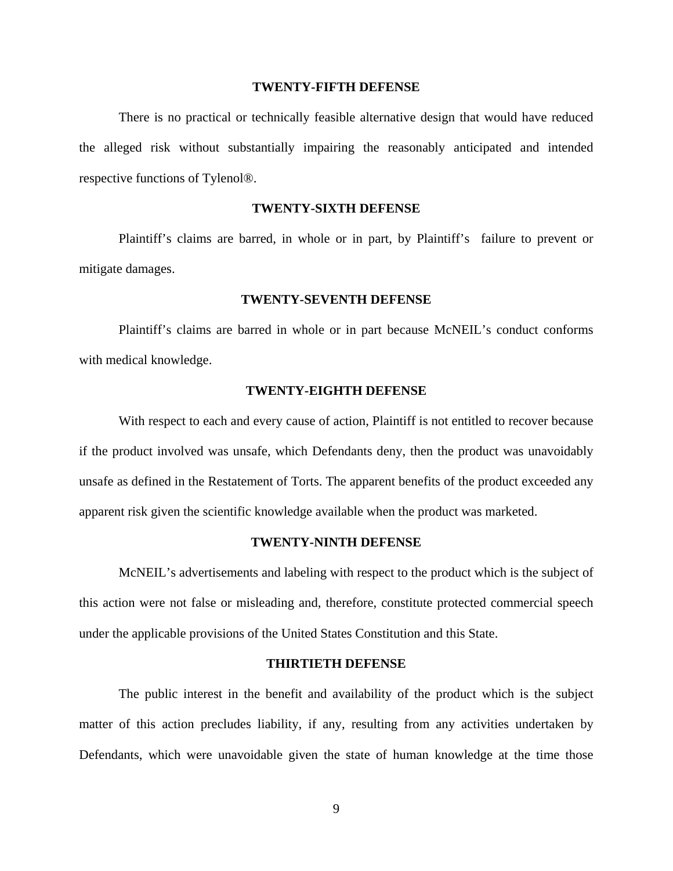## **TWENTY-FIFTH DEFENSE**

There is no practical or technically feasible alternative design that would have reduced the alleged risk without substantially impairing the reasonably anticipated and intended respective functions of Tylenol®.

# **TWENTY-SIXTH DEFENSE**

Plaintiff's claims are barred, in whole or in part, by Plaintiff's failure to prevent or mitigate damages.

## **TWENTY-SEVENTH DEFENSE**

Plaintiff's claims are barred in whole or in part because McNEIL's conduct conforms with medical knowledge.

## **TWENTY-EIGHTH DEFENSE**

With respect to each and every cause of action, Plaintiff is not entitled to recover because if the product involved was unsafe, which Defendants deny, then the product was unavoidably unsafe as defined in the Restatement of Torts. The apparent benefits of the product exceeded any apparent risk given the scientific knowledge available when the product was marketed.

#### **TWENTY-NINTH DEFENSE**

McNEIL's advertisements and labeling with respect to the product which is the subject of this action were not false or misleading and, therefore, constitute protected commercial speech under the applicable provisions of the United States Constitution and this State.

#### **THIRTIETH DEFENSE**

The public interest in the benefit and availability of the product which is the subject matter of this action precludes liability, if any, resulting from any activities undertaken by Defendants, which were unavoidable given the state of human knowledge at the time those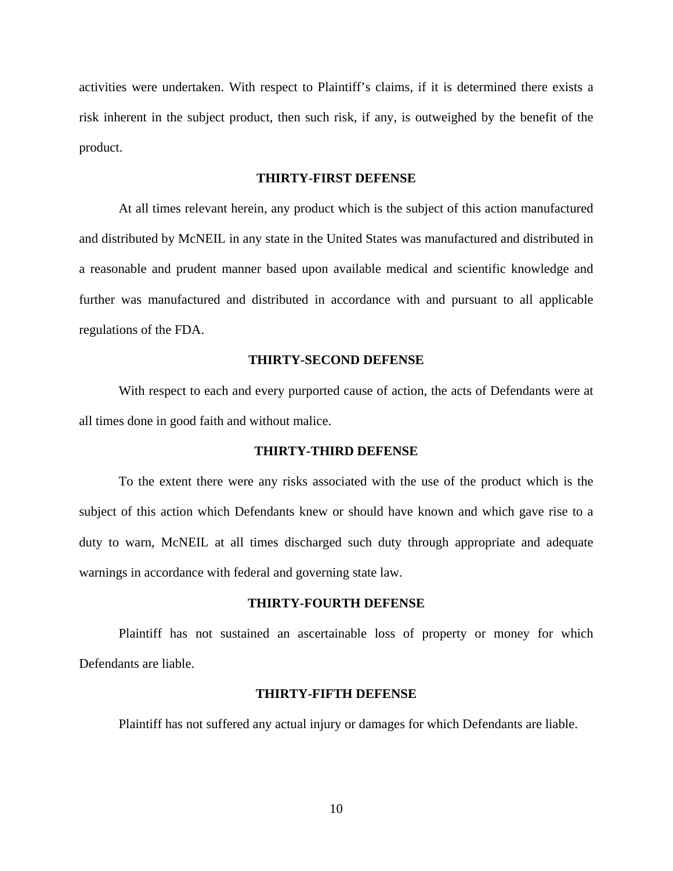activities were undertaken. With respect to Plaintiff's claims, if it is determined there exists a risk inherent in the subject product, then such risk, if any, is outweighed by the benefit of the product.

## **THIRTY-FIRST DEFENSE**

At all times relevant herein, any product which is the subject of this action manufactured and distributed by McNEIL in any state in the United States was manufactured and distributed in a reasonable and prudent manner based upon available medical and scientific knowledge and further was manufactured and distributed in accordance with and pursuant to all applicable regulations of the FDA.

## **THIRTY-SECOND DEFENSE**

With respect to each and every purported cause of action, the acts of Defendants were at all times done in good faith and without malice.

## **THIRTY-THIRD DEFENSE**

To the extent there were any risks associated with the use of the product which is the subject of this action which Defendants knew or should have known and which gave rise to a duty to warn, McNEIL at all times discharged such duty through appropriate and adequate warnings in accordance with federal and governing state law.

### **THIRTY-FOURTH DEFENSE**

Plaintiff has not sustained an ascertainable loss of property or money for which Defendants are liable.

#### **THIRTY-FIFTH DEFENSE**

Plaintiff has not suffered any actual injury or damages for which Defendants are liable.

10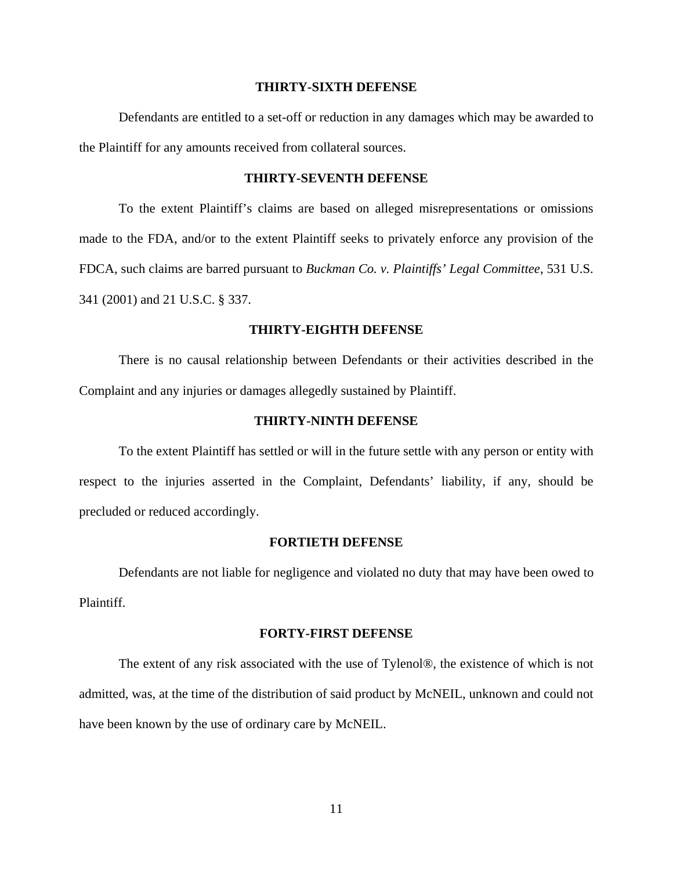## **THIRTY-SIXTH DEFENSE**

Defendants are entitled to a set-off or reduction in any damages which may be awarded to the Plaintiff for any amounts received from collateral sources.

## **THIRTY-SEVENTH DEFENSE**

To the extent Plaintiff's claims are based on alleged misrepresentations or omissions made to the FDA, and/or to the extent Plaintiff seeks to privately enforce any provision of the FDCA, such claims are barred pursuant to *Buckman Co. v. Plaintiffs' Legal Committee*, 531 U.S. 341 (2001) and 21 U.S.C. § 337.

## **THIRTY-EIGHTH DEFENSE**

There is no causal relationship between Defendants or their activities described in the Complaint and any injuries or damages allegedly sustained by Plaintiff.

## **THIRTY-NINTH DEFENSE**

To the extent Plaintiff has settled or will in the future settle with any person or entity with respect to the injuries asserted in the Complaint, Defendants' liability, if any, should be precluded or reduced accordingly.

## **FORTIETH DEFENSE**

Defendants are not liable for negligence and violated no duty that may have been owed to Plaintiff.

#### **FORTY-FIRST DEFENSE**

The extent of any risk associated with the use of Tylenol®, the existence of which is not admitted, was, at the time of the distribution of said product by McNEIL, unknown and could not have been known by the use of ordinary care by McNEIL.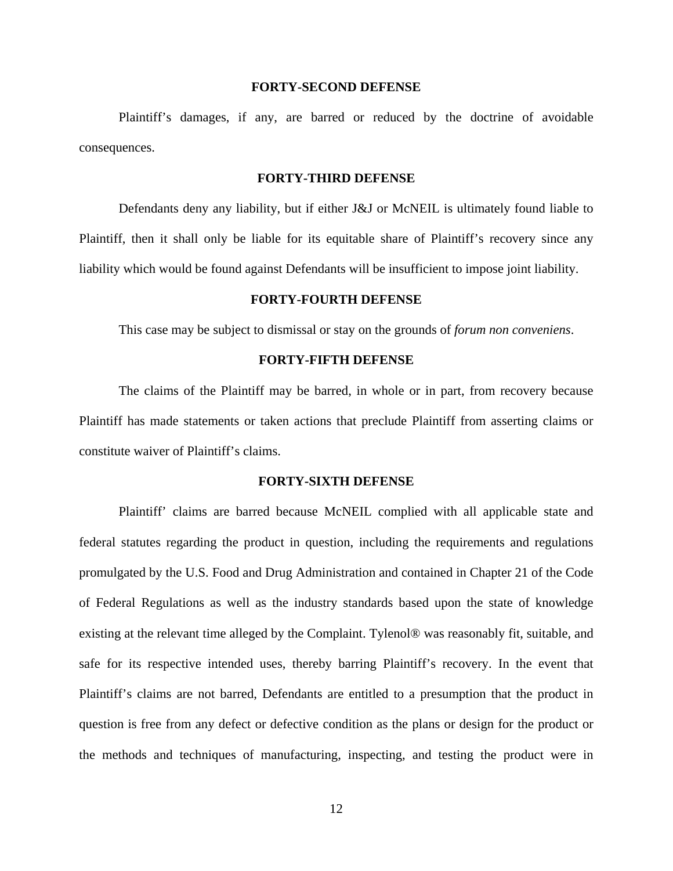## **FORTY-SECOND DEFENSE**

Plaintiff's damages, if any, are barred or reduced by the doctrine of avoidable consequences.

## **FORTY-THIRD DEFENSE**

Defendants deny any liability, but if either J&J or McNEIL is ultimately found liable to Plaintiff, then it shall only be liable for its equitable share of Plaintiff's recovery since any liability which would be found against Defendants will be insufficient to impose joint liability.

# **FORTY-FOURTH DEFENSE**

This case may be subject to dismissal or stay on the grounds of *forum non conveniens*.

## **FORTY-FIFTH DEFENSE**

The claims of the Plaintiff may be barred, in whole or in part, from recovery because Plaintiff has made statements or taken actions that preclude Plaintiff from asserting claims or constitute waiver of Plaintiff's claims.

### **FORTY-SIXTH DEFENSE**

Plaintiff' claims are barred because McNEIL complied with all applicable state and federal statutes regarding the product in question, including the requirements and regulations promulgated by the U.S. Food and Drug Administration and contained in Chapter 21 of the Code of Federal Regulations as well as the industry standards based upon the state of knowledge existing at the relevant time alleged by the Complaint. Tylenol® was reasonably fit, suitable, and safe for its respective intended uses, thereby barring Plaintiff's recovery. In the event that Plaintiff's claims are not barred, Defendants are entitled to a presumption that the product in question is free from any defect or defective condition as the plans or design for the product or the methods and techniques of manufacturing, inspecting, and testing the product were in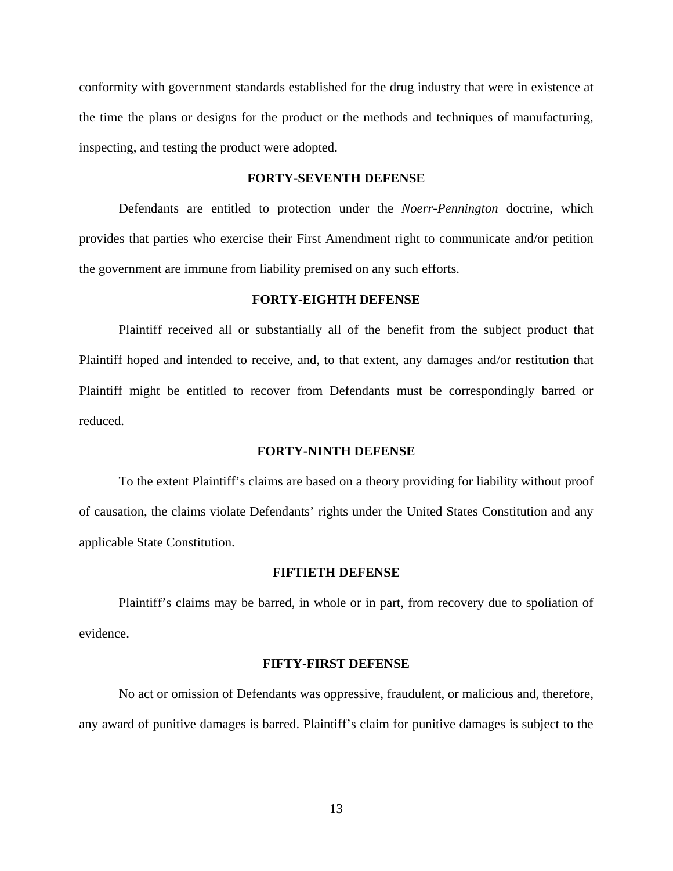conformity with government standards established for the drug industry that were in existence at the time the plans or designs for the product or the methods and techniques of manufacturing, inspecting, and testing the product were adopted.

## **FORTY-SEVENTH DEFENSE**

Defendants are entitled to protection under the *Noerr-Pennington* doctrine, which provides that parties who exercise their First Amendment right to communicate and/or petition the government are immune from liability premised on any such efforts.

## **FORTY-EIGHTH DEFENSE**

Plaintiff received all or substantially all of the benefit from the subject product that Plaintiff hoped and intended to receive, and, to that extent, any damages and/or restitution that Plaintiff might be entitled to recover from Defendants must be correspondingly barred or reduced.

## **FORTY-NINTH DEFENSE**

To the extent Plaintiff's claims are based on a theory providing for liability without proof of causation, the claims violate Defendants' rights under the United States Constitution and any applicable State Constitution.

### **FIFTIETH DEFENSE**

Plaintiff's claims may be barred, in whole or in part, from recovery due to spoliation of evidence.

#### **FIFTY-FIRST DEFENSE**

No act or omission of Defendants was oppressive, fraudulent, or malicious and, therefore, any award of punitive damages is barred. Plaintiff's claim for punitive damages is subject to the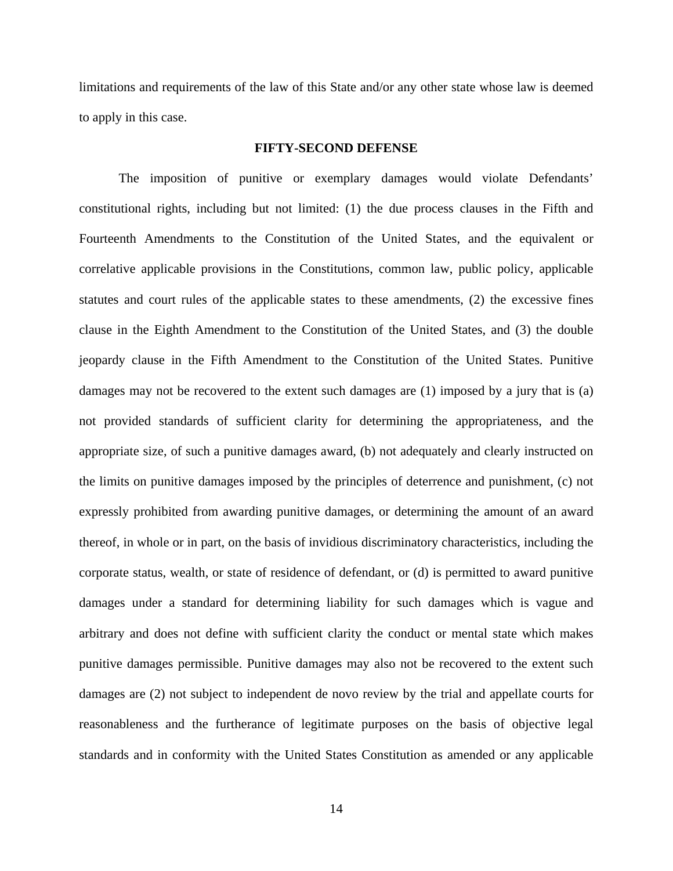limitations and requirements of the law of this State and/or any other state whose law is deemed to apply in this case.

# **FIFTY-SECOND DEFENSE**

The imposition of punitive or exemplary damages would violate Defendants' constitutional rights, including but not limited: (1) the due process clauses in the Fifth and Fourteenth Amendments to the Constitution of the United States, and the equivalent or correlative applicable provisions in the Constitutions, common law, public policy, applicable statutes and court rules of the applicable states to these amendments, (2) the excessive fines clause in the Eighth Amendment to the Constitution of the United States, and (3) the double jeopardy clause in the Fifth Amendment to the Constitution of the United States. Punitive damages may not be recovered to the extent such damages are (1) imposed by a jury that is (a) not provided standards of sufficient clarity for determining the appropriateness, and the appropriate size, of such a punitive damages award, (b) not adequately and clearly instructed on the limits on punitive damages imposed by the principles of deterrence and punishment, (c) not expressly prohibited from awarding punitive damages, or determining the amount of an award thereof, in whole or in part, on the basis of invidious discriminatory characteristics, including the corporate status, wealth, or state of residence of defendant, or (d) is permitted to award punitive damages under a standard for determining liability for such damages which is vague and arbitrary and does not define with sufficient clarity the conduct or mental state which makes punitive damages permissible. Punitive damages may also not be recovered to the extent such damages are (2) not subject to independent de novo review by the trial and appellate courts for reasonableness and the furtherance of legitimate purposes on the basis of objective legal standards and in conformity with the United States Constitution as amended or any applicable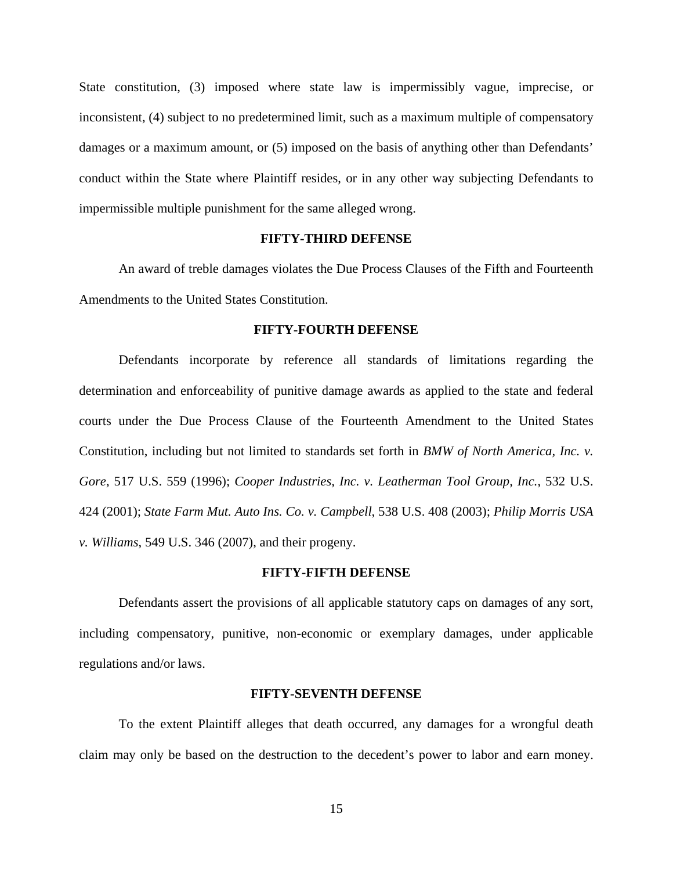State constitution, (3) imposed where state law is impermissibly vague, imprecise, or inconsistent, (4) subject to no predetermined limit, such as a maximum multiple of compensatory damages or a maximum amount, or (5) imposed on the basis of anything other than Defendants' conduct within the State where Plaintiff resides, or in any other way subjecting Defendants to impermissible multiple punishment for the same alleged wrong.

## **FIFTY-THIRD DEFENSE**

An award of treble damages violates the Due Process Clauses of the Fifth and Fourteenth Amendments to the United States Constitution.

## **FIFTY-FOURTH DEFENSE**

Defendants incorporate by reference all standards of limitations regarding the determination and enforceability of punitive damage awards as applied to the state and federal courts under the Due Process Clause of the Fourteenth Amendment to the United States Constitution, including but not limited to standards set forth in *BMW of North America, Inc. v. Gore*, 517 U.S. 559 (1996); *Cooper Industries, Inc. v. Leatherman Tool Group, Inc.*, 532 U.S. 424 (2001); *State Farm Mut. Auto Ins. Co. v. Campbell*, 538 U.S. 408 (2003); *Philip Morris USA v. Williams*, 549 U.S. 346 (2007), and their progeny.

### **FIFTY-FIFTH DEFENSE**

Defendants assert the provisions of all applicable statutory caps on damages of any sort, including compensatory, punitive, non-economic or exemplary damages, under applicable regulations and/or laws.

#### **FIFTY-SEVENTH DEFENSE**

To the extent Plaintiff alleges that death occurred, any damages for a wrongful death claim may only be based on the destruction to the decedent's power to labor and earn money.